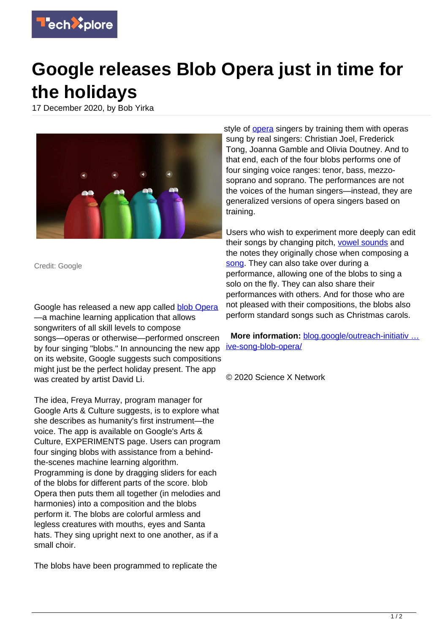

## **Google releases Blob Opera just in time for the holidays**

17 December 2020, by Bob Yirka



Credit: Google

Google has released a new app called **[blob Opera](https://blog.google/outreach-initiatives/arts-culture/create-festive-song-blob-opera/)** —a machine learning application that allows songwriters of all skill levels to compose songs—operas or otherwise—performed onscreen by four singing "blobs." In announcing the new app on its website, Google suggests such compositions might just be the perfect holiday present. The app was created by artist David Li.

The idea, Freya Murray, program manager for Google Arts & Culture suggests, is to explore what she describes as humanity's first instrument—the voice. The app is available on Google's Arts & Culture, EXPERIMENTS page. Users can program four singing blobs with assistance from a behindthe-scenes machine learning algorithm. Programming is done by dragging sliders for each of the blobs for different parts of the score. blob Opera then puts them all together (in melodies and harmonies) into a composition and the blobs perform it. The blobs are colorful armless and legless creatures with mouths, eyes and Santa hats. They sing upright next to one another, as if a small choir.

The blobs have been programmed to replicate the

style of [opera](https://techxplore.com/tags/opera/) singers by training them with operas sung by real singers: Christian Joel, Frederick Tong, Joanna Gamble and Olivia Doutney. And to that end, each of the four blobs performs one of four singing voice ranges: tenor, bass, mezzosoprano and soprano. The performances are not the voices of the human singers—instead, they are generalized versions of opera singers based on training.

Users who wish to experiment more deeply can edit their songs by changing pitch, [vowel sounds](https://techxplore.com/tags/vowel+sounds/) and the notes they originally chose when composing a [song](https://techxplore.com/tags/song/). They can also take over during a performance, allowing one of the blobs to sing a solo on the fly. They can also share their performances with others. And for those who are not pleased with their compositions, the blobs also perform standard songs such as Christmas carols.

 **More information:** [blog.google/outreach-initiativ …](https://blog.google/outreach-initiatives/arts-culture/create-festive-song-blob-opera/) [ive-song-blob-opera/](https://blog.google/outreach-initiatives/arts-culture/create-festive-song-blob-opera/)

© 2020 Science X Network